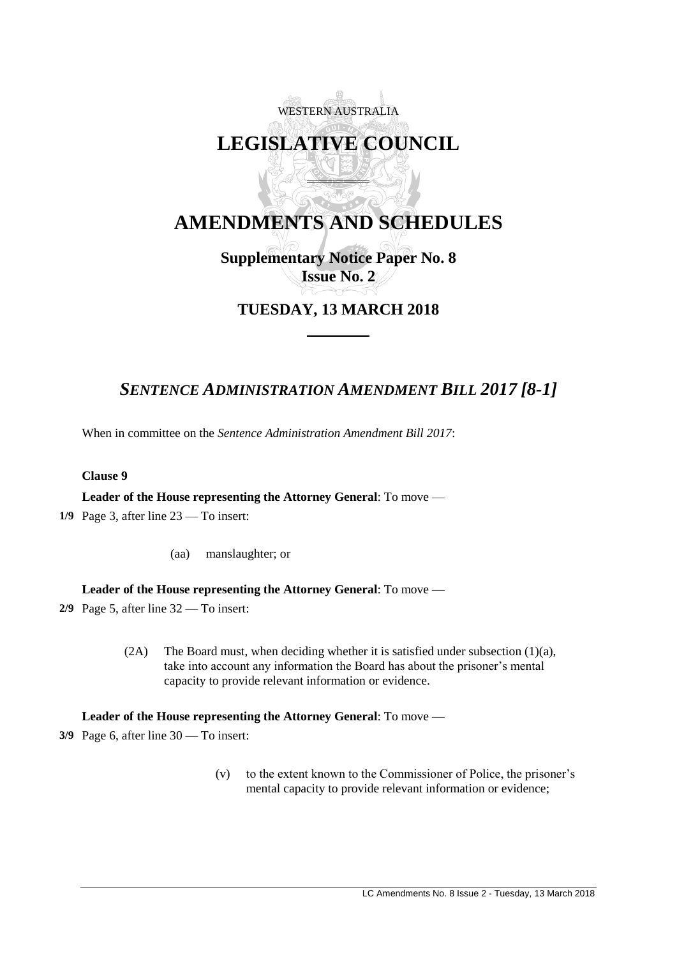# WESTERN AUSTRALIA **LEGISLATIVE COUNCIL**  $\overline{a}$

## **AMENDMENTS AND SCHEDULES**

## **Supplementary Notice Paper No. 8 Issue No. 2**

## **TUESDAY, 13 MARCH 2018**

 $\overline{a}$ 

## *SENTENCE ADMINISTRATION AMENDMENT BILL 2017 [8-1]*

When in committee on the *Sentence Administration Amendment Bill 2017*:

### **Clause 9**

**Leader of the House representing the Attorney General**: To move —

- 1/9 Page 3, after line 23 To insert:
	- (aa) manslaughter; or

#### **Leader of the House representing the Attorney General**: To move —

- 2/9 Page 5, after line 32 To insert:
	- (2A) The Board must, when deciding whether it is satisfied under subsection (1)(a), take into account any information the Board has about the prisoner's mental capacity to provide relevant information or evidence.

### **Leader of the House representing the Attorney General**: To move —

3/9 Page 6, after line 30 — To insert:

(v) to the extent known to the Commissioner of Police, the prisoner's mental capacity to provide relevant information or evidence;